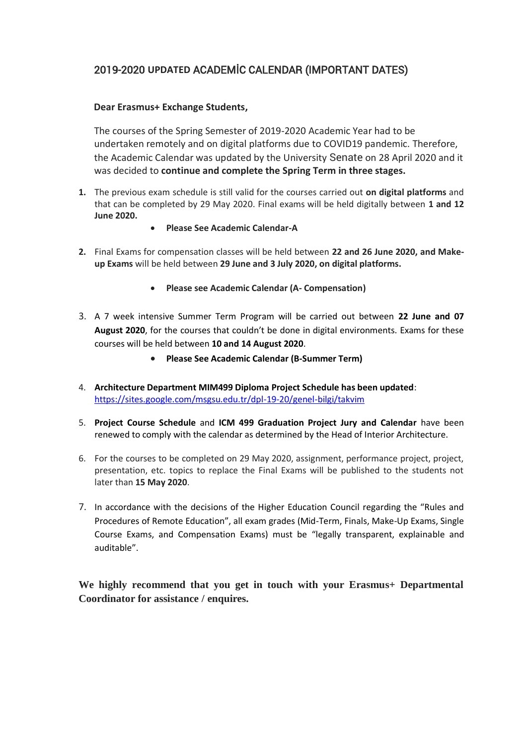## 2019-2020 **UPDATED** ACADEMİC CALENDAR (IMPORTANT DATES)

## **Dear Erasmus+ Exchange Students,**

The courses of the Spring Semester of 2019-2020 Academic Year had to be undertaken remotely and on digital platforms due to COVID19 pandemic. Therefore, the Academic Calendar was updated by the University Senate on 28 April 2020 and it was decided to **continue and complete the Spring Term in three stages.** 

- **1.** The previous exam schedule is still valid for the courses carried out **on digital platforms** and that can be completed by 29 May 2020. Final exams will be held digitally between **1 and 12 June 2020.** 
	- **Please See Academic Calendar-A**
- **2.** Final Exams for compensation classes will be held between **22 and 26 June 2020, and Makeup Exams** will be held between **29 June and 3 July 2020, on digital platforms.**
	- **Please see Academic Calendar (A- Compensation)**
- 3. A 7 week intensive Summer Term Program will be carried out between **22 June and 07 August 2020**, for the courses that couldn't be done in digital environments. Exams for these courses will be held between **10 and 14 August 2020**.
	- **Please See Academic Calendar (B-Summer Term)**
- 4. **Architecture Department MIM499 Diploma Project Schedule has been updated**: <https://sites.google.com/msgsu.edu.tr/dpl-19-20/genel-bilgi/takvim>
- 5. **Project Course Schedule** and **ICM 499 Graduation Project Jury and Calendar** have been renewed to comply with the calendar as determined by the Head of Interior Architecture.
- 6. For the courses to be completed on 29 May 2020, assignment, performance project, project, presentation, etc. topics to replace the Final Exams will be published to the students not later than **15 May 2020**.
- 7. In accordance with the decisions of the Higher Education Council regarding the "Rules and Procedures of Remote Education", all exam grades (Mid-Term, Finals, Make-Up Exams, Single Course Exams, and Compensation Exams) must be "legally transparent, explainable and auditable".

**We highly recommend that you get in touch with your Erasmus+ Departmental Coordinator for assistance / enquires.**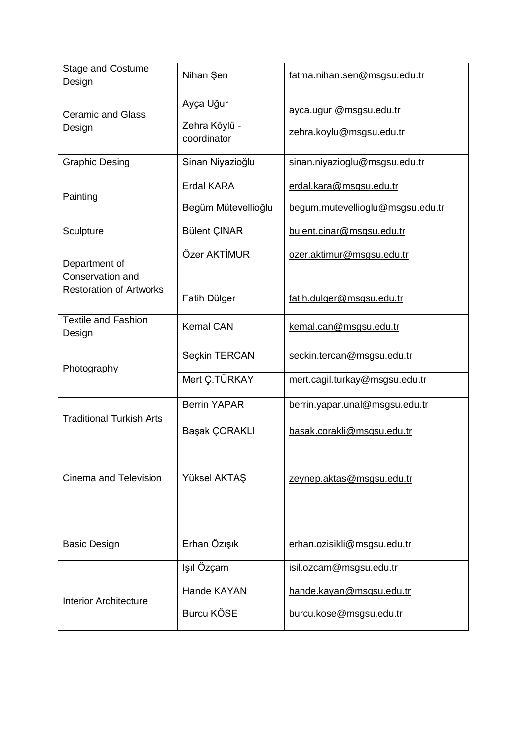| <b>Stage and Costume</b><br>Design                                  | Nihan Şen                                 | fatma.nihan.sen@msgsu.edu.tr                                |
|---------------------------------------------------------------------|-------------------------------------------|-------------------------------------------------------------|
| <b>Ceramic and Glass</b><br>Design                                  | Ayça Uğur<br>Zehra Köylü -<br>coordinator | ayca.ugur @msgsu.edu.tr<br>zehra.koylu@msgsu.edu.tr         |
| <b>Graphic Desing</b>                                               | Sinan Niyazioğlu                          | sinan.niyazioglu@msgsu.edu.tr                               |
| Painting                                                            | <b>Erdal KARA</b><br>Begüm Mütevellioğlu  | erdal.kara@msgsu.edu.tr<br>begum.mutevellioglu@msgsu.edu.tr |
| Sculpture                                                           | <b>Bülent ÇINAR</b>                       | bulent.cinar@msgsu.edu.tr                                   |
| Department of<br>Conservation and<br><b>Restoration of Artworks</b> | Özer AKTİMUR<br>Fatih Dülger              | ozer.aktimur@msgsu.edu.tr<br>fatih.dulger@msgsu.edu.tr      |
| <b>Textile and Fashion</b><br>Design                                | <b>Kemal CAN</b>                          | kemal.can@msgsu.edu.tr                                      |
| Photography                                                         | Seçkin TERCAN                             | seckin.tercan@msgsu.edu.tr                                  |
|                                                                     | Mert Ç.TÜRKAY                             | mert.cagil.turkay@msgsu.edu.tr                              |
| <b>Traditional Turkish Arts</b>                                     | <b>Berrin YAPAR</b>                       | berrin.yapar.unal@msgsu.edu.tr                              |
|                                                                     | Başak ÇORAKLI                             | basak.corakli@msgsu.edu.tr                                  |
| Cinema and Television                                               | Yüksel AKTAŞ                              | zeynep.aktas@msgsu.edu.tr                                   |
| <b>Basic Design</b>                                                 | Erhan Özışık                              | erhan.ozisikli@msgsu.edu.tr                                 |
|                                                                     | Işıl Özçam                                | isil.ozcam@msgsu.edu.tr                                     |
| <b>Interior Architecture</b>                                        | Hande KAYAN                               | hande.kayan@msgsu.edu.tr                                    |
|                                                                     | <b>Burcu KÖSE</b>                         | burcu.kose@msgsu.edu.tr                                     |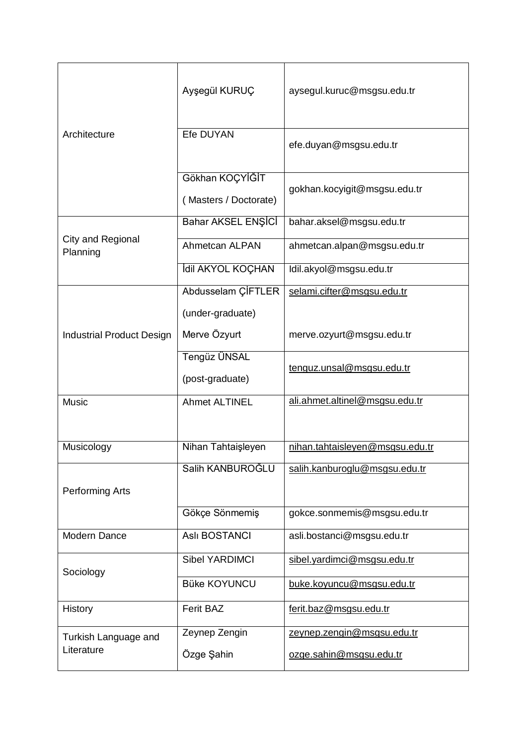|                                    | Ayşegül KURUÇ                            | aysegul.kuruc@msgsu.edu.tr      |
|------------------------------------|------------------------------------------|---------------------------------|
| Architecture                       | Efe DUYAN                                | efe.duyan@msgsu.edu.tr          |
|                                    | Gökhan KOÇYİĞİT<br>(Masters / Doctorate) | gokhan.kocyigit@msgsu.edu.tr    |
| City and Regional<br>Planning      | Bahar AKSEL ENŞİCİ                       | bahar.aksel@msgsu.edu.tr        |
|                                    | Ahmetcan ALPAN                           | ahmetcan.alpan@msgsu.edu.tr     |
|                                    | İdil AKYOL KOÇHAN                        | Idil.akyol@msgsu.edu.tr         |
|                                    | Abdusselam ÇİFTLER                       | selami.cifter@msgsu.edu.tr      |
|                                    | (under-graduate)                         |                                 |
| <b>Industrial Product Design</b>   | Merve Özyurt                             | merve.ozyurt@msgsu.edu.tr       |
|                                    | Tengüz ÜNSAL                             | tenguz.unsal@msgsu.edu.tr       |
|                                    | (post-graduate)                          |                                 |
| <b>Music</b>                       | <b>Ahmet ALTINEL</b>                     | ali.ahmet.altinel@msgsu.edu.tr  |
| Musicology                         | Nihan Tahtaişleyen                       | nihan.tahtaisleyen@msgsu.edu.tr |
| Performing Arts                    | Salih KANBUROĞLU                         | salih.kanburoglu@msgsu.edu.tr   |
|                                    | Gökçe Sönmemiş                           | gokce.sonmemis@msgsu.edu.tr     |
| Modern Dance                       | <b>Aslı BOSTANCI</b>                     | asli.bostanci@msgsu.edu.tr      |
| Sociology                          | <b>Sibel YARDIMCI</b>                    | sibel.yardimci@msgsu.edu.tr     |
|                                    | <b>Büke KOYUNCU</b>                      | buke.koyuncu@msgsu.edu.tr       |
| History                            | <b>Ferit BAZ</b>                         | ferit.baz@msgsu.edu.tr          |
| Turkish Language and<br>Literature | Zeynep Zengin                            | zeynep.zengin@msgsu.edu.tr      |
|                                    | Özge Şahin                               | ozge.sahin@msgsu.edu.tr         |